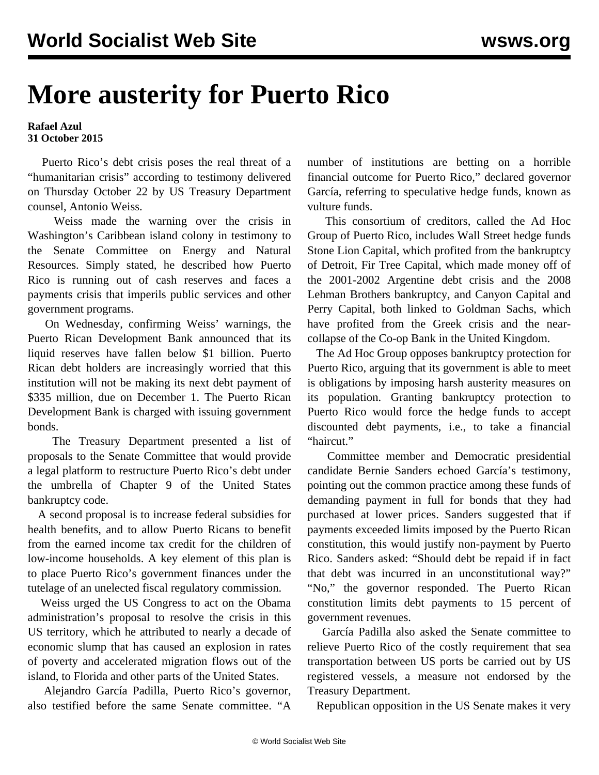## **More austerity for Puerto Rico**

## **Rafael Azul 31 October 2015**

 Puerto Rico's debt crisis poses the real threat of a "humanitarian crisis" according to testimony delivered on Thursday October 22 by US Treasury Department counsel, Antonio Weiss.

 Weiss made the warning over the crisis in Washington's Caribbean island colony in testimony to the Senate Committee on Energy and Natural Resources. Simply stated, he described how Puerto Rico is running out of cash reserves and faces a payments crisis that imperils public services and other government programs.

 On Wednesday, confirming Weiss' warnings, the Puerto Rican Development Bank announced that its liquid reserves have fallen below \$1 billion. Puerto Rican debt holders are increasingly worried that this institution will not be making its next debt payment of \$335 million, due on December 1. The Puerto Rican Development Bank is charged with issuing government bonds.

 The Treasury Department presented a list of proposals to the Senate Committee that would provide a legal platform to restructure Puerto Rico's debt under the umbrella of Chapter 9 of the United States bankruptcy code.

 A second proposal is to increase federal subsidies for health benefits, and to allow Puerto Ricans to benefit from the earned income tax credit for the children of low-income households. A key element of this plan is to place Puerto Rico's government finances under the tutelage of an unelected fiscal regulatory commission.

 Weiss urged the US Congress to act on the Obama administration's proposal to resolve the crisis in this US territory, which he attributed to nearly a decade of economic slump that has caused an explosion in rates of poverty and accelerated migration flows out of the island, to Florida and other parts of the United States.

 Alejandro García Padilla, Puerto Rico's governor, also testified before the same Senate committee. "A

number of institutions are betting on a horrible financial outcome for Puerto Rico," declared governor García, referring to speculative hedge funds, known as vulture funds.

 This consortium of creditors, called the Ad Hoc Group of Puerto Rico, includes Wall Street hedge funds Stone Lion Capital, which profited from the bankruptcy of Detroit, Fir Tree Capital, which made money off of the 2001-2002 Argentine debt crisis and the 2008 Lehman Brothers bankruptcy, and Canyon Capital and Perry Capital, both linked to Goldman Sachs, which have profited from the Greek crisis and the nearcollapse of the Co-op Bank in the United Kingdom.

 The Ad Hoc Group opposes bankruptcy protection for Puerto Rico, arguing that its government is able to meet is obligations by imposing harsh austerity measures on its population. Granting bankruptcy protection to Puerto Rico would force the hedge funds to accept discounted debt payments, i.e., to take a financial "haircut."

 Committee member and Democratic presidential candidate Bernie Sanders echoed García's testimony, pointing out the common practice among these funds of demanding payment in full for bonds that they had purchased at lower prices. Sanders suggested that if payments exceeded limits imposed by the Puerto Rican constitution, this would justify non-payment by Puerto Rico. Sanders asked: "Should debt be repaid if in fact that debt was incurred in an unconstitutional way?" "No," the governor responded. The Puerto Rican constitution limits debt payments to 15 percent of government revenues.

 García Padilla also asked the Senate committee to relieve Puerto Rico of the costly requirement that sea transportation between US ports be carried out by US registered vessels, a measure not endorsed by the Treasury Department.

Republican opposition in the US Senate makes it very